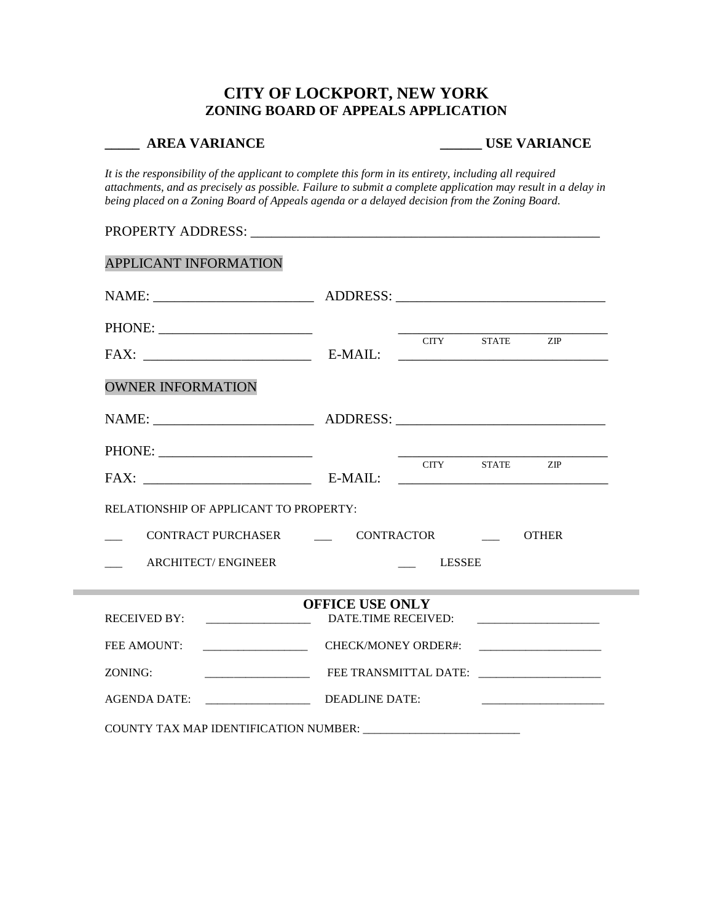# **CITY OF LOCKPORT, NEW YORK ZONING BOARD OF APPEALS APPLICATION**

### **\_\_\_\_\_ AREA VARIANCE \_\_\_\_\_\_ USE VARIANCE**

*It is the responsibility of the applicant to complete this form in its entirety, including all required attachments, and as precisely as possible. Failure to submit a complete application may result in a delay in being placed on a Zoning Board of Appeals agenda or a delayed decision from the Zoning Board.*

| FAX: E-MAIL:                           |  |  |                                                                                                                                                          |  |  |  |  |
|----------------------------------------|--|--|----------------------------------------------------------------------------------------------------------------------------------------------------------|--|--|--|--|
| RELATIONSHIP OF APPLICANT TO PROPERTY: |  |  |                                                                                                                                                          |  |  |  |  |
| CONTRACT PURCHASER CONTRACTOR OTHER    |  |  |                                                                                                                                                          |  |  |  |  |
|                                        |  |  | <b>ARCHITECT/ENGINEER</b><br>LESSEE                                                                                                                      |  |  |  |  |
|                                        |  |  |                                                                                                                                                          |  |  |  |  |
| <b>OFFICE USE ONLY</b>                 |  |  |                                                                                                                                                          |  |  |  |  |
| DATE.TIME RECEIVED:                    |  |  |                                                                                                                                                          |  |  |  |  |
| CHECK/MONEY ORDER#:                    |  |  |                                                                                                                                                          |  |  |  |  |
|                                        |  |  | CITY STATE ZIP<br><u> 1989 - Johann Stein, skriuwer en fan it ferskearre fan it ferskearre fan it ferskearre fan it ferskearre fan</u><br>CITY STATE ZIP |  |  |  |  |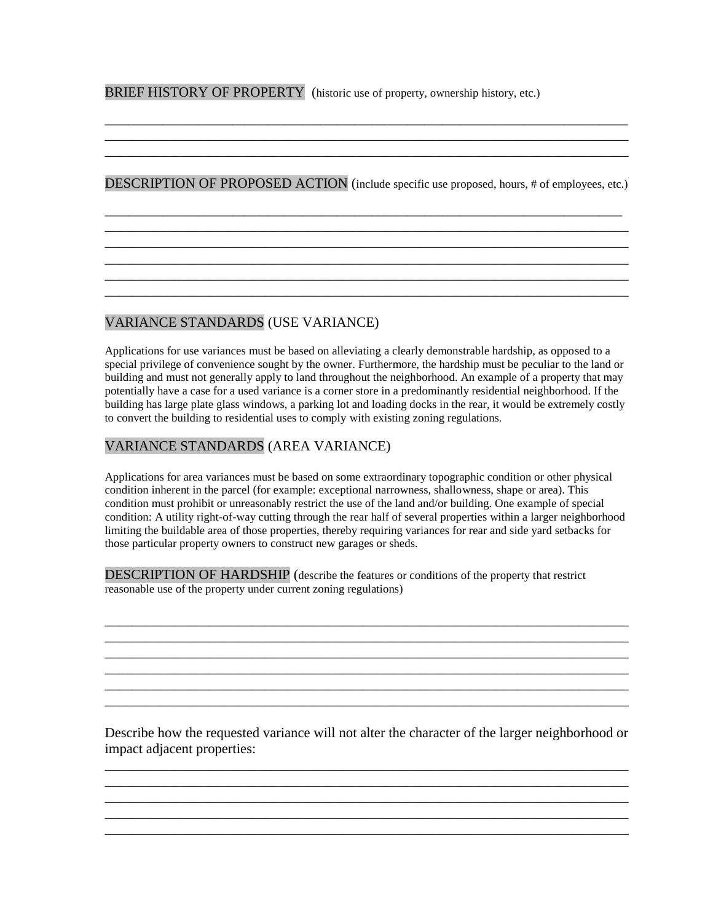BRIEF HISTORY OF PROPERTY (historic use of property, ownership history, etc.)

DESCRIPTION OF PROPOSED ACTION (include specific use proposed, hours, # of employees, etc.)

\_\_\_\_\_\_\_\_\_\_\_\_\_\_\_\_\_\_\_\_\_\_\_\_\_\_\_\_\_\_\_\_\_\_\_\_\_\_\_\_\_\_\_\_\_\_\_\_\_\_\_\_\_\_\_\_\_\_\_\_\_\_\_\_\_\_\_\_\_\_\_\_\_\_\_\_\_\_\_\_\_\_\_\_\_\_\_\_\_ \_\_\_\_\_\_\_\_\_\_\_\_\_\_\_\_\_\_\_\_\_\_\_\_\_\_\_\_\_\_\_\_\_\_\_\_\_\_\_\_\_\_\_\_\_\_\_\_\_\_\_\_\_\_\_\_\_\_\_\_\_\_\_\_\_\_\_\_\_\_\_\_\_\_\_ \_\_\_\_\_\_\_\_\_\_\_\_\_\_\_\_\_\_\_\_\_\_\_\_\_\_\_\_\_\_\_\_\_\_\_\_\_\_\_\_\_\_\_\_\_\_\_\_\_\_\_\_\_\_\_\_\_\_\_\_\_\_\_\_\_\_\_\_\_\_\_\_\_\_\_ \_\_\_\_\_\_\_\_\_\_\_\_\_\_\_\_\_\_\_\_\_\_\_\_\_\_\_\_\_\_\_\_\_\_\_\_\_\_\_\_\_\_\_\_\_\_\_\_\_\_\_\_\_\_\_\_\_\_\_\_\_\_\_\_\_\_\_\_\_\_\_\_\_\_\_

\_\_\_\_\_\_\_\_\_\_\_\_\_\_\_\_\_\_\_\_\_\_\_\_\_\_\_\_\_\_\_\_\_\_\_\_\_\_\_\_\_\_\_\_\_\_\_\_\_\_\_\_\_\_\_\_\_\_\_\_\_\_\_\_\_\_\_\_\_\_\_\_\_\_\_

 $\mathcal{L}_\mathcal{L} = \{ \mathcal{L}_\mathcal{L} = \{ \mathcal{L}_\mathcal{L} = \{ \mathcal{L}_\mathcal{L} = \{ \mathcal{L}_\mathcal{L} = \{ \mathcal{L}_\mathcal{L} = \{ \mathcal{L}_\mathcal{L} = \{ \mathcal{L}_\mathcal{L} = \{ \mathcal{L}_\mathcal{L} = \{ \mathcal{L}_\mathcal{L} = \{ \mathcal{L}_\mathcal{L} = \{ \mathcal{L}_\mathcal{L} = \{ \mathcal{L}_\mathcal{L} = \{ \mathcal{L}_\mathcal{L} = \{ \mathcal{L}_\mathcal{$ 

\_\_\_\_\_\_\_\_\_\_\_\_\_\_\_\_\_\_\_\_\_\_\_\_\_\_\_\_\_\_\_\_\_\_\_\_\_\_\_\_\_\_\_\_\_\_\_\_\_\_\_\_\_\_\_\_\_\_\_\_\_\_\_\_\_\_\_\_\_\_\_\_\_\_\_\_\_\_\_\_\_\_\_\_\_\_\_\_\_\_ \_\_\_\_\_\_\_\_\_\_\_\_\_\_\_\_\_\_\_\_\_\_\_\_\_\_\_\_\_\_\_\_\_\_\_\_\_\_\_\_\_\_\_\_\_\_\_\_\_\_\_\_\_\_\_\_\_\_\_\_\_\_\_\_\_\_\_\_\_\_\_\_\_\_\_ \_\_\_\_\_\_\_\_\_\_\_\_\_\_\_\_\_\_\_\_\_\_\_\_\_\_\_\_\_\_\_\_\_\_\_\_\_\_\_\_\_\_\_\_\_\_\_\_\_\_\_\_\_\_\_\_\_\_\_\_\_\_\_\_\_\_\_\_\_\_\_\_\_\_\_

# VARIANCE STANDARDS (USE VARIANCE)

Applications for use variances must be based on alleviating a clearly demonstrable hardship, as opposed to a special privilege of convenience sought by the owner. Furthermore, the hardship must be peculiar to the land or building and must not generally apply to land throughout the neighborhood. An example of a property that may potentially have a case for a used variance is a corner store in a predominantly residential neighborhood. If the building has large plate glass windows, a parking lot and loading docks in the rear, it would be extremely costly to convert the building to residential uses to comply with existing zoning regulations.

## VARIANCE STANDARDS (AREA VARIANCE)

Applications for area variances must be based on some extraordinary topographic condition or other physical condition inherent in the parcel (for example: exceptional narrowness, shallowness, shape or area). This condition must prohibit or unreasonably restrict the use of the land and/or building. One example of special condition: A utility right-of-way cutting through the rear half of several properties within a larger neighborhood limiting the buildable area of those properties, thereby requiring variances for rear and side yard setbacks for those particular property owners to construct new garages or sheds.

\_\_\_\_\_\_\_\_\_\_\_\_\_\_\_\_\_\_\_\_\_\_\_\_\_\_\_\_\_\_\_\_\_\_\_\_\_\_\_\_\_\_\_\_\_\_\_\_\_\_\_\_\_\_\_\_\_\_\_\_\_\_\_\_\_\_\_\_\_\_\_\_\_\_\_ \_\_\_\_\_\_\_\_\_\_\_\_\_\_\_\_\_\_\_\_\_\_\_\_\_\_\_\_\_\_\_\_\_\_\_\_\_\_\_\_\_\_\_\_\_\_\_\_\_\_\_\_\_\_\_\_\_\_\_\_\_\_\_\_\_\_\_\_\_\_\_\_\_\_\_ \_\_\_\_\_\_\_\_\_\_\_\_\_\_\_\_\_\_\_\_\_\_\_\_\_\_\_\_\_\_\_\_\_\_\_\_\_\_\_\_\_\_\_\_\_\_\_\_\_\_\_\_\_\_\_\_\_\_\_\_\_\_\_\_\_\_\_\_\_\_\_\_\_\_\_ \_\_\_\_\_\_\_\_\_\_\_\_\_\_\_\_\_\_\_\_\_\_\_\_\_\_\_\_\_\_\_\_\_\_\_\_\_\_\_\_\_\_\_\_\_\_\_\_\_\_\_\_\_\_\_\_\_\_\_\_\_\_\_\_\_\_\_\_\_\_\_\_\_\_\_ \_\_\_\_\_\_\_\_\_\_\_\_\_\_\_\_\_\_\_\_\_\_\_\_\_\_\_\_\_\_\_\_\_\_\_\_\_\_\_\_\_\_\_\_\_\_\_\_\_\_\_\_\_\_\_\_\_\_\_\_\_\_\_\_\_\_\_\_\_\_\_\_\_\_\_ \_\_\_\_\_\_\_\_\_\_\_\_\_\_\_\_\_\_\_\_\_\_\_\_\_\_\_\_\_\_\_\_\_\_\_\_\_\_\_\_\_\_\_\_\_\_\_\_\_\_\_\_\_\_\_\_\_\_\_\_\_\_\_\_\_\_\_\_\_\_\_\_\_\_\_

DESCRIPTION OF HARDSHIP (describe the features or conditions of the property that restrict reasonable use of the property under current zoning regulations)

Describe how the requested variance will not alter the character of the larger neighborhood or impact adjacent properties:

\_\_\_\_\_\_\_\_\_\_\_\_\_\_\_\_\_\_\_\_\_\_\_\_\_\_\_\_\_\_\_\_\_\_\_\_\_\_\_\_\_\_\_\_\_\_\_\_\_\_\_\_\_\_\_\_\_\_\_\_\_\_\_\_\_\_\_\_\_\_\_\_\_\_\_ \_\_\_\_\_\_\_\_\_\_\_\_\_\_\_\_\_\_\_\_\_\_\_\_\_\_\_\_\_\_\_\_\_\_\_\_\_\_\_\_\_\_\_\_\_\_\_\_\_\_\_\_\_\_\_\_\_\_\_\_\_\_\_\_\_\_\_\_\_\_\_\_\_\_\_ \_\_\_\_\_\_\_\_\_\_\_\_\_\_\_\_\_\_\_\_\_\_\_\_\_\_\_\_\_\_\_\_\_\_\_\_\_\_\_\_\_\_\_\_\_\_\_\_\_\_\_\_\_\_\_\_\_\_\_\_\_\_\_\_\_\_\_\_\_\_\_\_\_\_\_ \_\_\_\_\_\_\_\_\_\_\_\_\_\_\_\_\_\_\_\_\_\_\_\_\_\_\_\_\_\_\_\_\_\_\_\_\_\_\_\_\_\_\_\_\_\_\_\_\_\_\_\_\_\_\_\_\_\_\_\_\_\_\_\_\_\_\_\_\_\_\_\_\_\_\_ \_\_\_\_\_\_\_\_\_\_\_\_\_\_\_\_\_\_\_\_\_\_\_\_\_\_\_\_\_\_\_\_\_\_\_\_\_\_\_\_\_\_\_\_\_\_\_\_\_\_\_\_\_\_\_\_\_\_\_\_\_\_\_\_\_\_\_\_\_\_\_\_\_\_\_